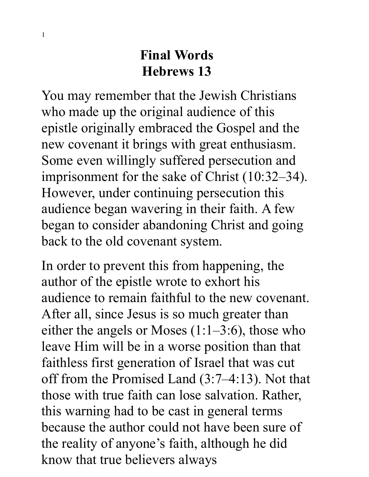## **Final Words Hebrews 13**

You may remember that the Jewish Christians who made up the original audience of this epistle originally embraced the Gospel and the new covenant it brings with great enthusiasm. Some even willingly suffered persecution and imprisonment for the sake of Christ (10:32–34). However, under continuing persecution this audience began wavering in their faith. A few began to consider abandoning Christ and going back to the old covenant system.

In order to prevent this from happening, the author of the epistle wrote to exhort his audience to remain faithful to the new covenant. After all, since Jesus is so much greater than either the angels or Moses (1:1–3:6), those who leave Him will be in a worse position than that faithless first generation of Israel that was cut off from the Promised Land (3:7–4:13). Not that those with true faith can lose salvation. Rather, this warning had to be cast in general terms because the author could not have been sure of the reality of anyone's faith, although he did know that true believers always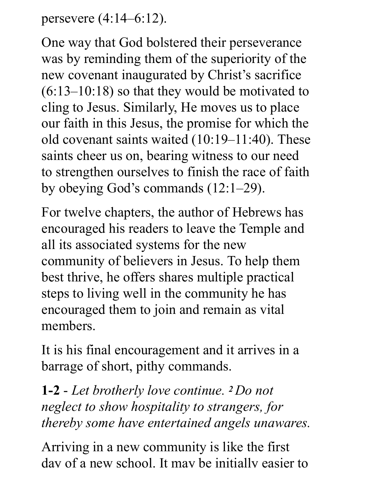persevere (4:14–6:12).

One way that God bolstered their perseverance was by reminding them of the superiority of the new covenant inaugurated by Christ's sacrifice  $(6:13-10:18)$  so that they would be motivated to cling to Jesus. Similarly, He moves us to place our faith in this Jesus, the promise for which the old covenant saints waited (10:19–11:40). These saints cheer us on, bearing witness to our need to strengthen ourselves to finish the race of faith by obeying God's commands (12:1–29).

For twelve chapters, the author of Hebrews has encouraged his readers to leave the Temple and all its associated systems for the new community of believers in Jesus. To help them best thrive, he offers shares multiple practical steps to living well in the community he has encouraged them to join and remain as vital members.

It is his final encouragement and it arrives in a barrage of short, pithy commands.

**1-2** - *Let brotherly love continue. 2 Do not neglect to show hospitality to strangers, for thereby some have entertained angels unawares.*

Arriving in a new community is like the first day of a new school. It may be initially easier to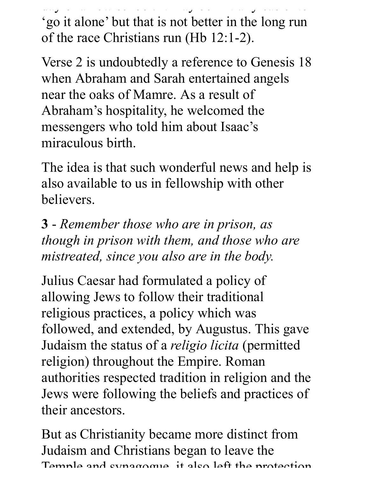day of a new school. It is matter to increase the initial set of the initial set of the initial set of the initial set of the initial set of the initial set of the initial set of the initial set of the initial set of the i 'go it alone' but that is not better in the long run of the race Christians run (Hb 12:1-2).

Verse 2 is undoubtedly a reference to Genesis 18 when Abraham and Sarah entertained angels near the oaks of Mamre. As a result of Abraham's hospitality, he welcomed the messengers who told him about Isaac's miraculous birth.

The idea is that such wonderful news and help is also available to us in fellowship with other believers.

**3** - *Remember those who are in prison, as though in prison with them, and those who are mistreated, since you also are in the body.* 

Julius Caesar had formulated a policy of allowing Jews to follow their traditional religious practices, a policy which was followed, and extended, by Augustus. This gave Judaism the status of a *religio licita* (permitted religion) throughout the Empire. Roman authorities respected tradition in religion and the Jews were following the beliefs and practices of their ancestors.

But as Christianity became more distinct from Judaism and Christians began to leave the Temple and synagogue it also left the protection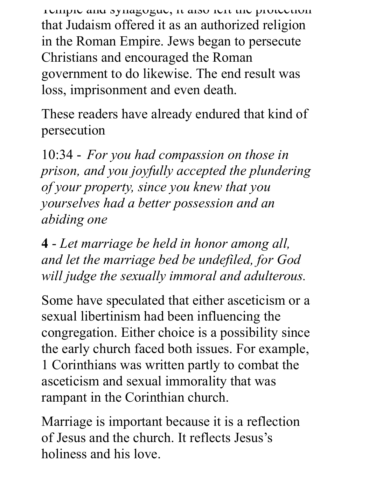Temple and synagogue, it also left the protection that Judaism offered it as an authorized religion in the Roman Empire. Jews began to persecute Christians and encouraged the Roman government to do likewise. The end result was loss, imprisonment and even death.

These readers have already endured that kind of persecution

10:34 - *For you had compassion on those in prison, and you joyfully accepted the plundering of your property, since you knew that you yourselves had a better possession and an abiding one*

**4** - *Let marriage be held in honor among all, and let the marriage bed be undefiled, for God will judge the sexually immoral and adulterous.*

Some have speculated that either asceticism or a sexual libertinism had been influencing the congregation. Either choice is a possibility since the early church faced both issues. For example, 1 Corinthians was written partly to combat the asceticism and sexual immorality that was rampant in the Corinthian church.

Marriage is important because it is a reflection of Jesus and the church. It reflects Jesus's holiness and his love.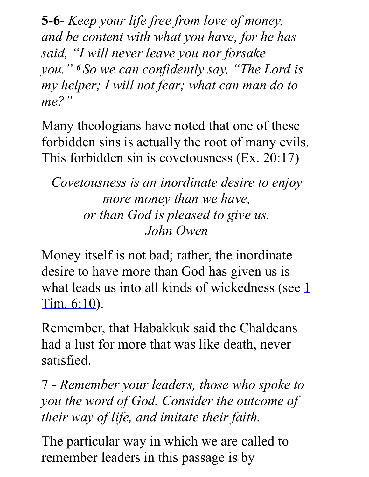**5-6***- Keep your life free from love of money, and be content with what you have, for he has said, "I will never leave you nor forsake you." <sup>6</sup>So we can confidently say, "The Lord is my helper; I will not fear; what can man do to me?"*

Many theologians have noted that one of these forbidden sins is actually the root of many evils. This forbidden sin is covetousness (Ex. 20:17)

*Covetousness is an inordinate desire to enjoy more money than we have, or than God is pleased to give us. John Owen*

Money itself is not bad; rather, the inordinate desire to have more than God has given us is what leads us into all kinds of wickedness (see  $1$ Tim. 6:10).

Remember, that Habakkuk said the Chaldeans had a lust for more that was like death, never satisfied.

7 - *Remember your leaders, those who spoke to you the word of God. Consider the outcome of their way of life, and imitate their faith.*

The particular way in which we are called to remember leaders in this passage is by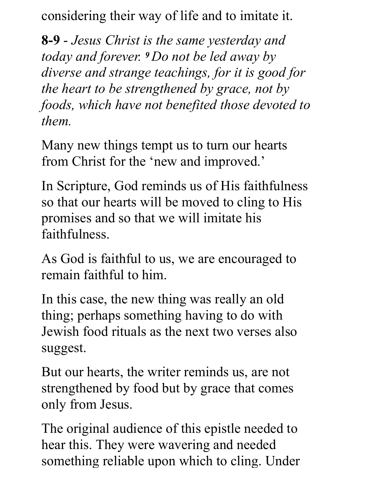considering their way of life and to imitate it.

**8-9** - *Jesus Christ is the same yesterday and today and forever. 9 Do not be led away by diverse and strange teachings, for it is good for the heart to be strengthened by grace, not by foods, which have not benefited those devoted to them.* 

Many new things tempt us to turn our hearts from Christ for the 'new and improved.'

In Scripture, God reminds us of His faithfulness so that our hearts will be moved to cling to His promises and so that we will imitate his faithfulness.

As God is faithful to us, we are encouraged to remain faithful to him.

In this case, the new thing was really an old thing; perhaps something having to do with Jewish food rituals as the next two verses also suggest.

But our hearts, the writer reminds us, are not strengthened by food but by grace that comes only from Jesus.

The original audience of this epistle needed to hear this. They were wavering and needed something reliable upon which to cling. Under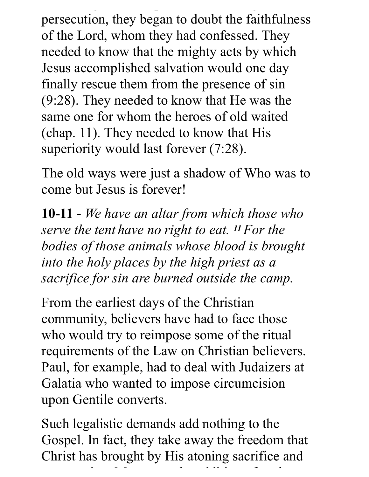something reliable upon which to cling. Under persecution, they began to doubt the faithfulness of the Lord, whom they had confessed. They needed to know that the mighty acts by which Jesus accomplished salvation would one day finally rescue them from the presence of sin (9:28). They needed to know that He was the same one for whom the heroes of old waited (chap. 11). They needed to know that His superiority would last forever (7:28).

The old ways were just a shadow of Who was to come but Jesus is forever!

**10-11** - *We have an altar from which those who serve the tent have no right to eat. 11 For the bodies of those animals whose blood is brought into the holy places by the high priest as a sacrifice for sin are burned outside the camp.*

From the earliest days of the Christian community, believers have had to face those who would try to reimpose some of the ritual requirements of the Law on Christian believers. Paul, for example, had to deal with Judaizers at Galatia who wanted to impose circumcision upon Gentile converts.

Such legalistic demands add nothing to the Gospel. In fact, they take away the freedom that Christ has brought by His atoning sacrifice and

resurrection. Moreover, the addition of such a distinct and such a distinct and such a distinct and such a dis<br>The addition of such a distinct and such a distinct and such a distinct and such a distinct and such a distinc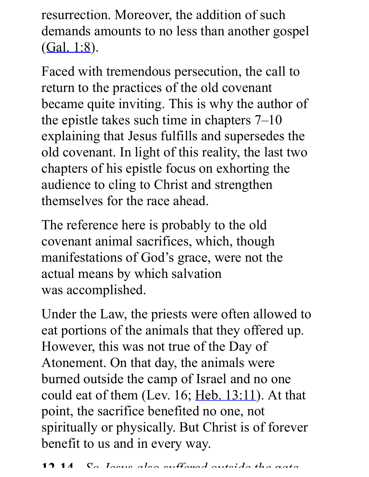resurrection. Moreover, the addition of such demands amounts to no less than another gospel  $(Gal. 1:8).$ 

Faced with tremendous persecution, the call to return to the practices of the old covenant became quite inviting. This is why the author of the epistle takes such time in chapters 7–10 explaining that Jesus fulfills and supersedes the old covenant. In light of this reality, the last two chapters of his epistle focus on exhorting the audience to cling to Christ and strengthen themselves for the race ahead.

The reference here is probably to the old covenant animal sacrifices, which, though manifestations of God's grace, were not the actual means by which salvation was accomplished.

Under the Law, the priests were often allowed to eat portions of the animals that they offered up. However, this was not true of the Day of Atonement. On that day, the animals were burned outside the camp of Israel and no one could eat of them (Lev. 16; Heb.  $13:11$ ). At that point, the sacrifice benefited no one, not spiritually or physically. But Christ is of forever benefit to us and in every way.

**12-14 -** *So Jesus also suffered outside the gate*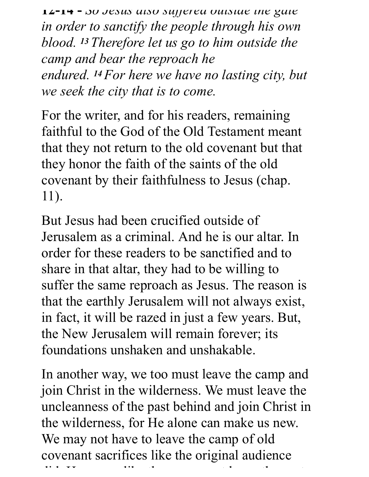**12-14 -** *So Jesus also suffered outside the gate in order to sanctify the people through his own blood. 13 Therefore let us go to him outside the camp and bear the reproach he endured. 14 For here we have no lasting city, but we seek the city that is to come.* 

For the writer, and for his readers, remaining faithful to the God of the Old Testament meant that they not return to the old covenant but that they honor the faith of the saints of the old covenant by their faithfulness to Jesus (chap. 11).

But Jesus had been crucified outside of Jerusalem as a criminal. And he is our altar. In order for these readers to be sanctified and to share in that altar, they had to be willing to suffer the same reproach as Jesus. The reason is that the earthly Jerusalem will not always exist, in fact, it will be razed in just a few years. But, the New Jerusalem will remain forever; its foundations unshaken and unshakable.

In another way, we too must leave the camp and join Christ in the wilderness. We must leave the uncleanness of the past behind and join Christ in the wilderness, for He alone can make us new. We may not have to leave the camp of old covenant sacrifices like the original audience did. However, like them we must leave the past leave them we must leave the past leave the past leave the past<br>Second the past leave the past leave the past leave the past leave the past leave the past leave the past leav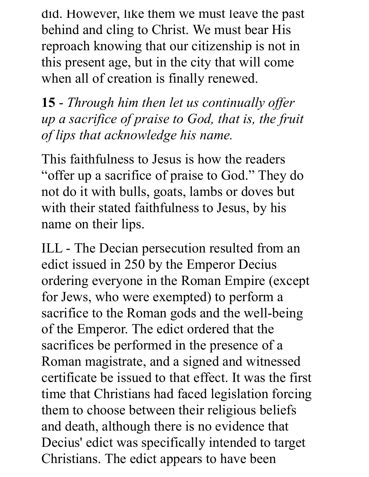did. However, like them we must leave the past behind and cling to Christ. We must bear His reproach knowing that our citizenship is not in this present age, but in the city that will come when all of creation is finally renewed.

**15** - *Through him then let us continually offer up a sacrifice of praise to God, that is, the fruit of lips that acknowledge his name.*

This faithfulness to Jesus is how the readers "offer up a sacrifice of praise to God." They do not do it with bulls, goats, lambs or doves but with their stated faithfulness to Jesus, by his name on their lips.

ILL - The Decian persecution resulted from an edict issued in 250 by the Emperor Decius ordering everyone in the Roman Empire (except for Jews, who were exempted) to perform a sacrifice to the Roman gods and the well-being of the Emperor. The edict ordered that the sacrifices be performed in the presence of a Roman magistrate, and a signed and witnessed certificate be issued to that effect. It was the first time that Christians had faced legislation forcing them to choose between their religious beliefs and death, although there is no evidence that Decius' edict was specifically intended to target Christians. The edict appears to have been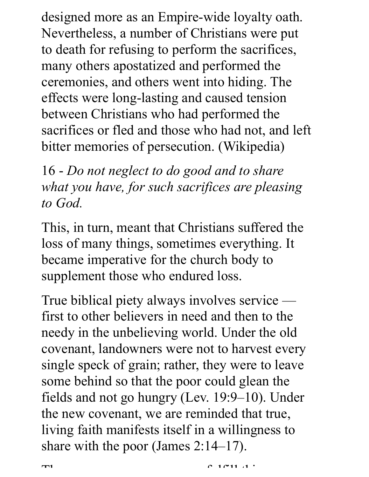designed more as an Empire-wide loyalty oath. Nevertheless, a number of Christians were put to death for refusing to perform the sacrifices, many others apostatized and performed the ceremonies, and others went into hiding. The effects were long-lasting and caused tension between Christians who had performed the sacrifices or fled and those who had not, and left bitter memories of persecution. (Wikipedia)

16 - *Do not neglect to do good and to share what you have, for such sacrifices are pleasing to God.*

This, in turn, meant that Christians suffered the loss of many things, sometimes everything. It became imperative for the church body to supplement those who endured loss.

True biblical piety always involves service first to other believers in need and then to the needy in the unbelieving world. Under the old covenant, landowners were not to harvest every single speck of grain; rather, they were to leave some behind so that the poor could glean the fields and not go hungry (Lev. 19:9–10). Under the new covenant, we are reminded that true, living faith manifests itself in a willingness to share with the poor (James 2:14–17).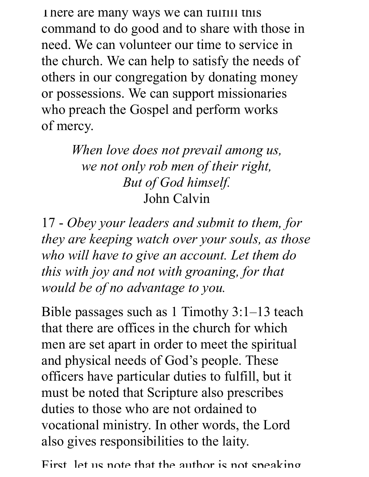There are many ways we can fulfill this command to do good and to share with those in need. We can volunteer our time to service in the church. We can help to satisfy the needs of others in our congregation by donating money or possessions. We can support missionaries who preach the Gospel and perform works of mercy.

> *When love does not prevail among us, we not only rob men of their right, But of God himself.* John Calvin

17 - *Obey your leaders and submit to them, for they are keeping watch over your souls, as those who will have to give an account. Let them do this with joy and not with groaning, for that would be of no advantage to you.*

Bible passages such as 1 Timothy 3:1–13 teach that there are offices in the church for which men are set apart in order to meet the spiritual and physical needs of God's people. These officers have particular duties to fulfill, but it must be noted that Scripture also prescribes duties to those who are not ordained to vocational ministry. In other words, the Lord also gives responsibilities to the laity.

First, let us note that the author is not speaking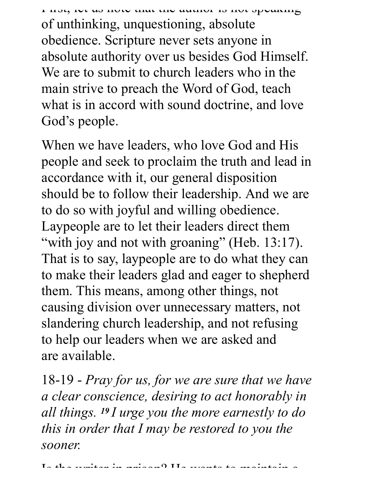First, let us note that the author is not speaking of unthinking, unquestioning, absolute obedience. Scripture never sets anyone in absolute authority over us besides God Himself. We are to submit to church leaders who in the main strive to preach the Word of God, teach what is in accord with sound doctrine, and love God's people.

When we have leaders, who love God and His people and seek to proclaim the truth and lead in accordance with it, our general disposition should be to follow their leadership. And we are to do so with joyful and willing obedience. Laypeople are to let their leaders direct them "with joy and not with groaning" (Heb. 13:17). That is to say, laypeople are to do what they can to make their leaders glad and eager to shepherd them. This means, among other things, not causing division over unnecessary matters, not slandering church leadership, and not refusing to help our leaders when we are asked and are available.

18-19 - *Pray for us, for we are sure that we have a clear conscience, desiring to act honorably in all things. 19 I urge you the more earnestly to do this in order that I may be restored to you the sooner.*

 $I_2$  the waiter in prison?  $II_2$  wants to maintain a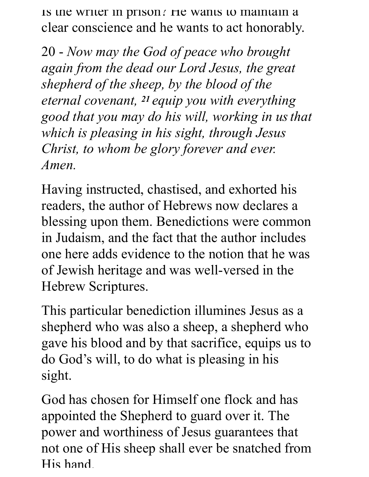Is the writer in prison? He wants to maintain a clear conscience and he wants to act honorably.

20 - *Now may the God of peace who brought again from the dead our Lord Jesus, the great shepherd of the sheep, by the blood of the eternal covenant, 21 equip you with everything good that you may do his will, working in usthat which is pleasing in his sight, through Jesus Christ, to whom be glory forever and ever. Amen.*

Having instructed, chastised, and exhorted his readers, the author of Hebrews now declares a blessing upon them. Benedictions were common in Judaism, and the fact that the author includes one here adds evidence to the notion that he was of Jewish heritage and was well-versed in the Hebrew Scriptures.

This particular benediction illumines Jesus as a shepherd who was also a sheep, a shepherd who gave his blood and by that sacrifice, equips us to do God's will, to do what is pleasing in his sight.

God has chosen for Himself one flock and has appointed the Shepherd to guard over it. The power and worthiness of Jesus guarantees that not one of His sheep shall ever be snatched from His hand.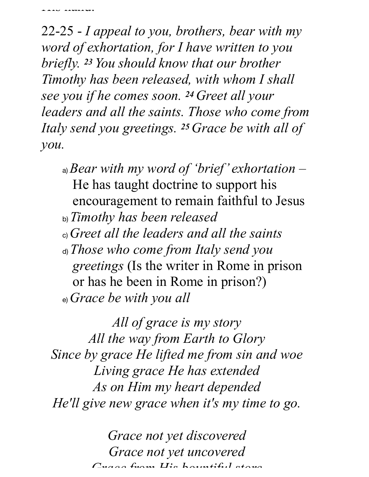TIM TIMILAH

22-25 - *I appeal to you, brothers, bear with my word of exhortation, for I have written to you briefly. 23 You should know that our brother Timothy has been released, with whom I shall see you if he comes soon. 24 Greet all your leaders and all the saints. Those who come from Italy send you greetings. 25 Grace be with all of you.*

- a) *Bear with my word of 'brief' exhortation –* He has taught doctrine to support his encouragement to remain faithful to Jesus
- b) *Timothy has been released*
- c) *Greet all the leaders and all the saints*
- d) *Those who come from Italy send you greetings* (Is the writer in Rome in prison or has he been in Rome in prison?) e) *Grace be with you all*

*All of grace is my story All the way from Earth to Glory Since by grace He lifted me from sin and woe Living grace He has extended As on Him my heart depended He'll give new grace when it's my time to go.*

> *Grace not yet discovered Grace not yet uncovered Grace from His bountiful store*